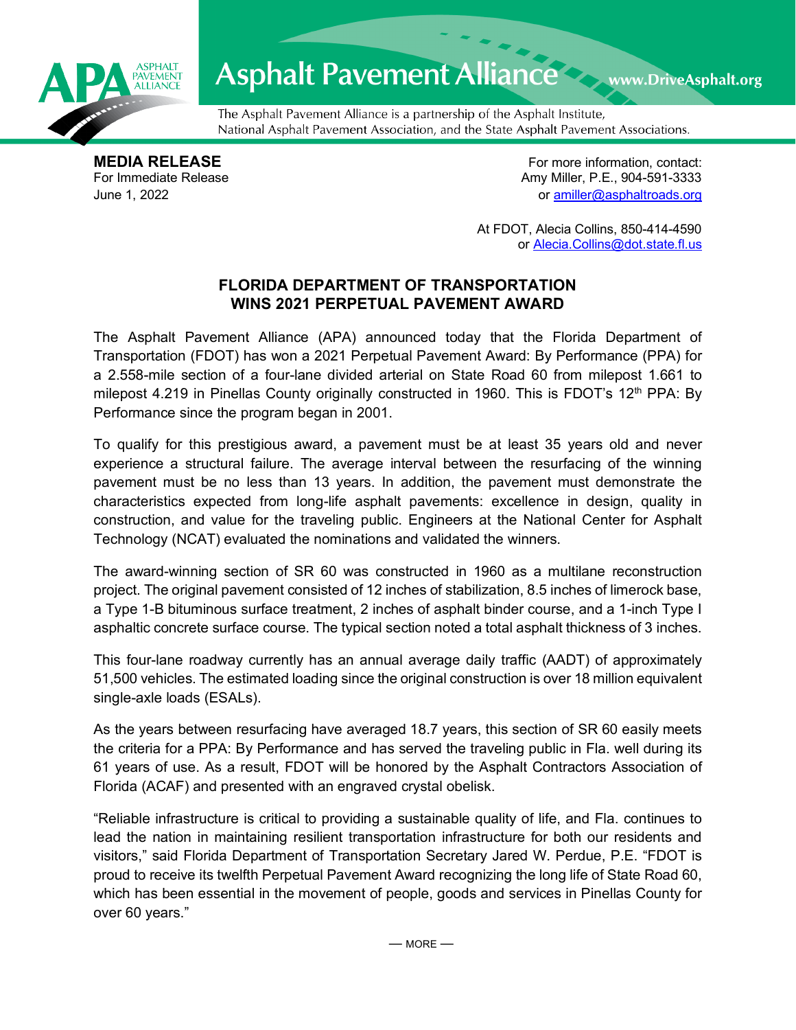

## Asphalt Pavement Alliance Mark DriveAsphalt.org

The Asphalt Pavement Alliance is a partnership of the Asphalt Institute, National Asphalt Pavement Association, and the State Asphalt Pavement Associations.

**MEDIA RELEASE**<br>
For Immediate Release **For more information, contact:**<br>
For Immediate Release **For the Structure of Amy Miller, P.E., 904-591-3333** Amy Miller, P.E., 904-591-3333 June 1, 2022 or [amiller@asphaltroads.org](mailto:amiller@asphaltroads.org)

> At FDOT, Alecia Collins, 850-414-4590 or [Alecia.Collins@dot.state.fl.us](mailto:Alecia.Collins@dot.state.fl.us)

## **FLORIDA DEPARTMENT OF TRANSPORTATION WINS 2021 PERPETUAL PAVEMENT AWARD**

The Asphalt Pavement Alliance (APA) announced today that the Florida Department of Transportation (FDOT) has won a 2021 Perpetual Pavement Award: By Performance (PPA) for a 2.558-mile section of a four-lane divided arterial on State Road 60 from milepost 1.661 to milepost 4.219 in Pinellas County originally constructed in 1960. This is FDOT's 12<sup>th</sup> PPA: By Performance since the program began in 2001.

To qualify for this prestigious award, a pavement must be at least 35 years old and never experience a structural failure. The average interval between the resurfacing of the winning pavement must be no less than 13 years. In addition, the pavement must demonstrate the characteristics expected from long-life asphalt pavements: excellence in design, quality in construction, and value for the traveling public. Engineers at the National Center for Asphalt Technology (NCAT) evaluated the nominations and validated the winners.

The award-winning section of SR 60 was constructed in 1960 as a multilane reconstruction project. The original pavement consisted of 12 inches of stabilization, 8.5 inches of limerock base, a Type 1-B bituminous surface treatment, 2 inches of asphalt binder course, and a 1-inch Type I asphaltic concrete surface course. The typical section noted a total asphalt thickness of 3 inches.

This four-lane roadway currently has an annual average daily traffic (AADT) of approximately 51,500 vehicles. The estimated loading since the original construction is over 18 million equivalent single-axle loads (ESALs).

As the years between resurfacing have averaged 18.7 years, this section of SR 60 easily meets the criteria for a PPA: By Performance and has served the traveling public in Fla. well during its 61 years of use. As a result, FDOT will be honored by the Asphalt Contractors Association of Florida (ACAF) and presented with an engraved crystal obelisk.

"Reliable infrastructure is critical to providing a sustainable quality of life, and Fla. continues to lead the nation in maintaining resilient transportation infrastructure for both our residents and visitors," said Florida Department of Transportation Secretary Jared W. Perdue, P.E. "FDOT is proud to receive its twelfth Perpetual Pavement Award recognizing the long life of State Road 60, which has been essential in the movement of people, goods and services in Pinellas County for over 60 years."